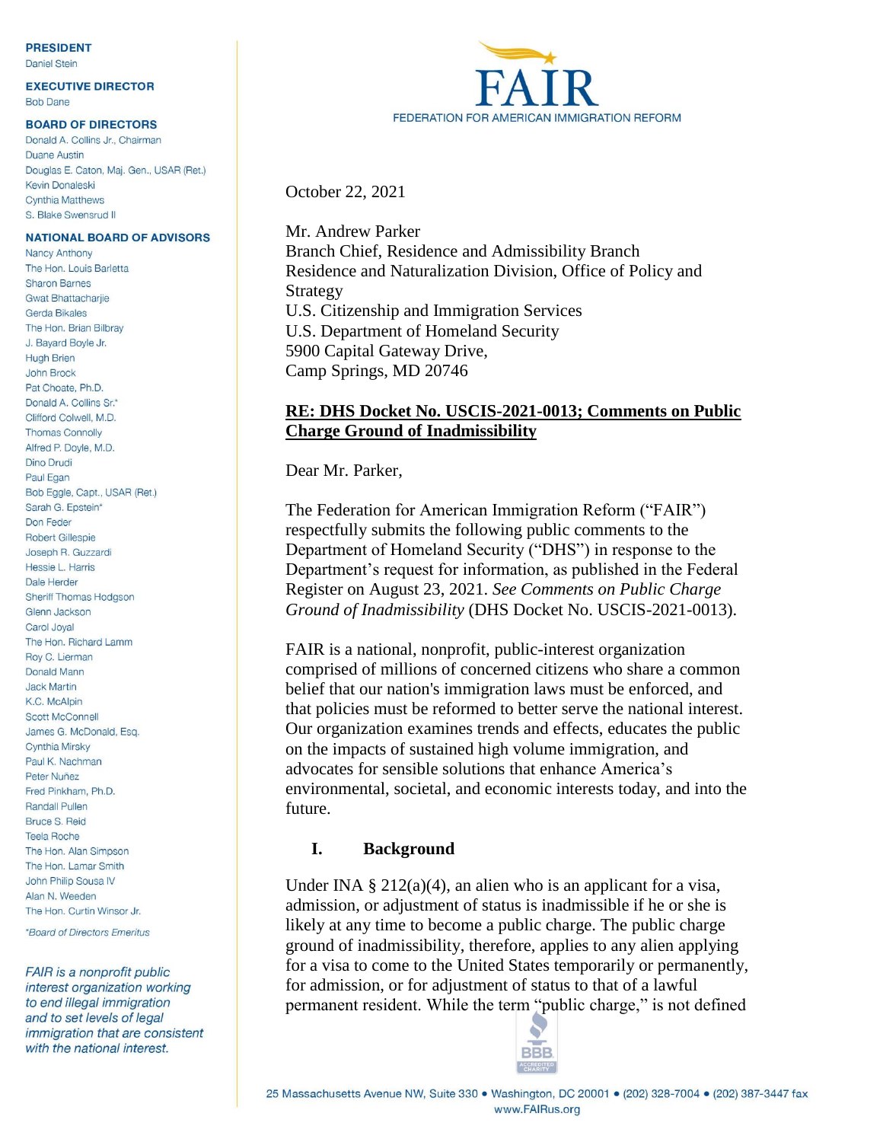#### **PRESIDENT**

**Daniel Stein** 

**EXECUTIVE DIRECTOR Bob Dane** 

#### **BOARD OF DIRECTORS**

Donald A. Collins Jr., Chairman Duane Austin Douglas E. Caton, Maj. Gen., USAR (Ret.) Kevin Donaleski Cynthia Matthews S. Blake Swensrud II

#### **NATIONAL BOARD OF ADVISORS**

**Nancy Anthony** The Hon Louis Barletta **Sharon Barnes Gwat Bhattacharije** Gerda Bikales The Hon. Brian Bilbray J. Bayard Boyle Jr. **Hugh Brien** John Brock Pat Choate, Ph.D. Donald A. Collins Sr.\* Clifford Colwell, M.D. **Thomas Connolly** Alfred P. Doyle, M.D. Dino Drudi Paul Egan Bob Eggle, Capt., USAR (Ret.) Sarah G. Epstein\* Don Feder Robert Gillespie Joseph R. Guzzardi Hessie L. Harris Dale Herder Sheriff Thomas Hodgson Glenn Jackson Carol Joval The Hon. Richard Lamm Roy C. Lierman Donald Mann **Jack Martin** K.C. McAlpin **Scott McConnell** James G. McDonald, Esq. Cynthia Mirsky Paul K. Nachman Peter Nuñez Fred Pinkham, Ph.D. **Randall Pullen** Bruce S. Reid **Teela Roche** The Hon. Alan Simpson The Hon. Lamar Smith John Philip Sousa IV Alan N. Weeden The Hon. Curtin Winsor Jr.

\*Board of Directors Emeritus

FAIR is a nonprofit public interest organization working to end illegal immigration and to set levels of legal immigration that are consistent with the national interest.



October 22, 2021

Mr. Andrew Parker Branch Chief, Residence and Admissibility Branch Residence and Naturalization Division, Office of Policy and Strategy U.S. Citizenship and Immigration Services U.S. Department of Homeland Security 5900 Capital Gateway Drive, Camp Springs, MD 20746

#### **RE: DHS Docket No. USCIS-2021-0013; Comments on Public Charge Ground of Inadmissibility**

Dear Mr. Parker,

The Federation for American Immigration Reform ("FAIR") respectfully submits the following public comments to the Department of Homeland Security ("DHS") in response to the Department's request for information, as published in the Federal Register on August 23, 2021. *See Comments on Public Charge Ground of Inadmissibility* (DHS Docket No. USCIS-2021-0013).

FAIR is a national, nonprofit, public-interest organization comprised of millions of concerned citizens who share a common belief that our nation's immigration laws must be enforced, and that policies must be reformed to better serve the national interest. Our organization examines trends and effects, educates the public on the impacts of sustained high volume immigration, and advocates for sensible solutions that enhance America's environmental, societal, and economic interests today, and into the future.

#### **I. Background**

Under INA  $\S 212(a)(4)$ , an alien who is an applicant for a visa, admission, or adjustment of status is inadmissible if he or she is likely at any time to become a public charge. The public charge ground of inadmissibility, therefore, applies to any alien applying for a visa to come to the United States temporarily or permanently, for admission, or for adjustment of status to that of a lawful permanent resident. While the term "public charge," is not defined

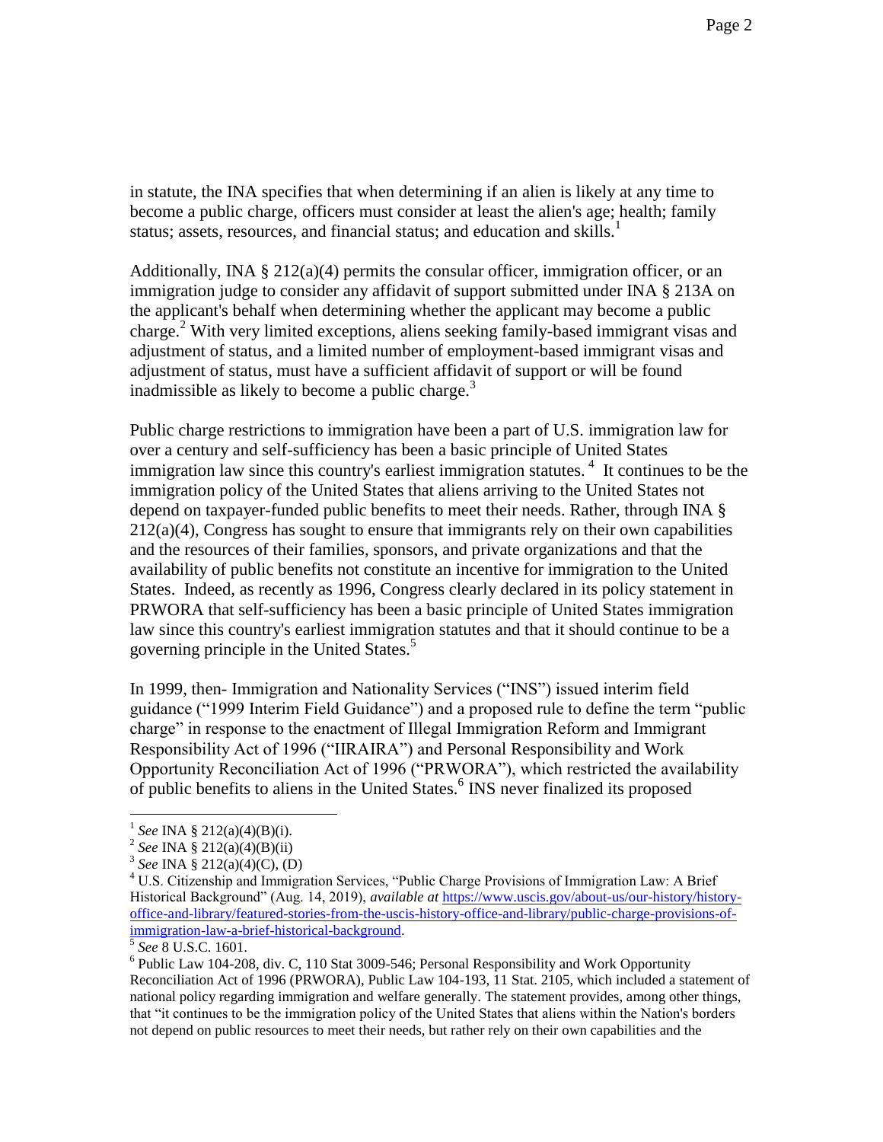in statute, the INA specifies that when determining if an alien is likely at any time to become a public charge, officers must consider at least the alien's age; health; family status; assets, resources, and financial status; and education and skills. $<sup>1</sup>$ </sup>

Additionally, INA  $\S 212(a)(4)$  permits the consular officer, immigration officer, or an immigration judge to consider any affidavit of support submitted under INA § 213A on the applicant's behalf when determining whether the applicant may become a public charge.<sup>2</sup> With very limited exceptions, aliens seeking family-based immigrant visas and adjustment of status, and a limited number of employment-based immigrant visas and adjustment of status, must have a sufficient affidavit of support or will be found inadmissible as likely to become a public charge. $3$ 

Public charge restrictions to immigration have been a part of U.S. immigration law for over a century and self-sufficiency has been a basic principle of United States immigration law since this country's earliest immigration statutes.<sup>4</sup> It continues to be the immigration policy of the United States that aliens arriving to the United States not depend on taxpayer-funded public benefits to meet their needs. Rather, through INA §  $212(a)(4)$ , Congress has sought to ensure that immigrants rely on their own capabilities and the resources of their families, sponsors, and private organizations and that the availability of public benefits not constitute an incentive for immigration to the United States. Indeed, as recently as 1996, Congress clearly declared in its policy statement in PRWORA that self-sufficiency has been a basic principle of United States immigration law since this country's earliest immigration statutes and that it should continue to be a governing principle in the United States.<sup>5</sup>

In 1999, then- Immigration and Nationality Services ("INS") issued interim field guidance ("1999 Interim Field Guidance") and a proposed rule to define the term "public charge" in response to the enactment of Illegal Immigration Reform and Immigrant Responsibility Act of 1996 ("IIRAIRA") and Personal Responsibility and Work Opportunity Reconciliation Act of 1996 ("PRWORA"), which restricted the availability of public benefits to aliens in the United States.<sup>6</sup> INS never finalized its proposed

<sup>1</sup> *See* INA § 212(a)(4)(B)(i).

<sup>2</sup> *See* INA § 212(a)(4)(B)(ii)

<sup>3</sup> *See* INA § 212(a)(4)(C), (D)

<sup>&</sup>lt;sup>4</sup> U.S. Citizenship and Immigration Services, "Public Charge Provisions of Immigration Law: A Brief Historical Background" (Aug. 14, 2019), *available at* [https://www.uscis.gov/about-us/our-history/history](https://www.uscis.gov/about-us/our-history/history-office-and-library/featured-stories-from-the-uscis-history-office-and-library/public-charge-provisions-of-immigration-law-a-brief-historical-background)[office-and-library/featured-stories-from-the-uscis-history-office-and-library/public-charge-provisions-of](https://www.uscis.gov/about-us/our-history/history-office-and-library/featured-stories-from-the-uscis-history-office-and-library/public-charge-provisions-of-immigration-law-a-brief-historical-background)[immigration-law-a-brief-historical-background.](https://www.uscis.gov/about-us/our-history/history-office-and-library/featured-stories-from-the-uscis-history-office-and-library/public-charge-provisions-of-immigration-law-a-brief-historical-background) 

<sup>5</sup> *See* 8 U.S.C. 1601.

 $6$  Public Law 104-208, div. C, 110 Stat 3009-546; Personal Responsibility and Work Opportunity Reconciliation Act of 1996 (PRWORA), Public Law 104-193, 11 Stat. 2105, which included a statement of national policy regarding immigration and welfare generally. The statement provides, among other things, that "it continues to be the immigration policy of the United States that aliens within the Nation's borders not depend on public resources to meet their needs, but rather rely on their own capabilities and the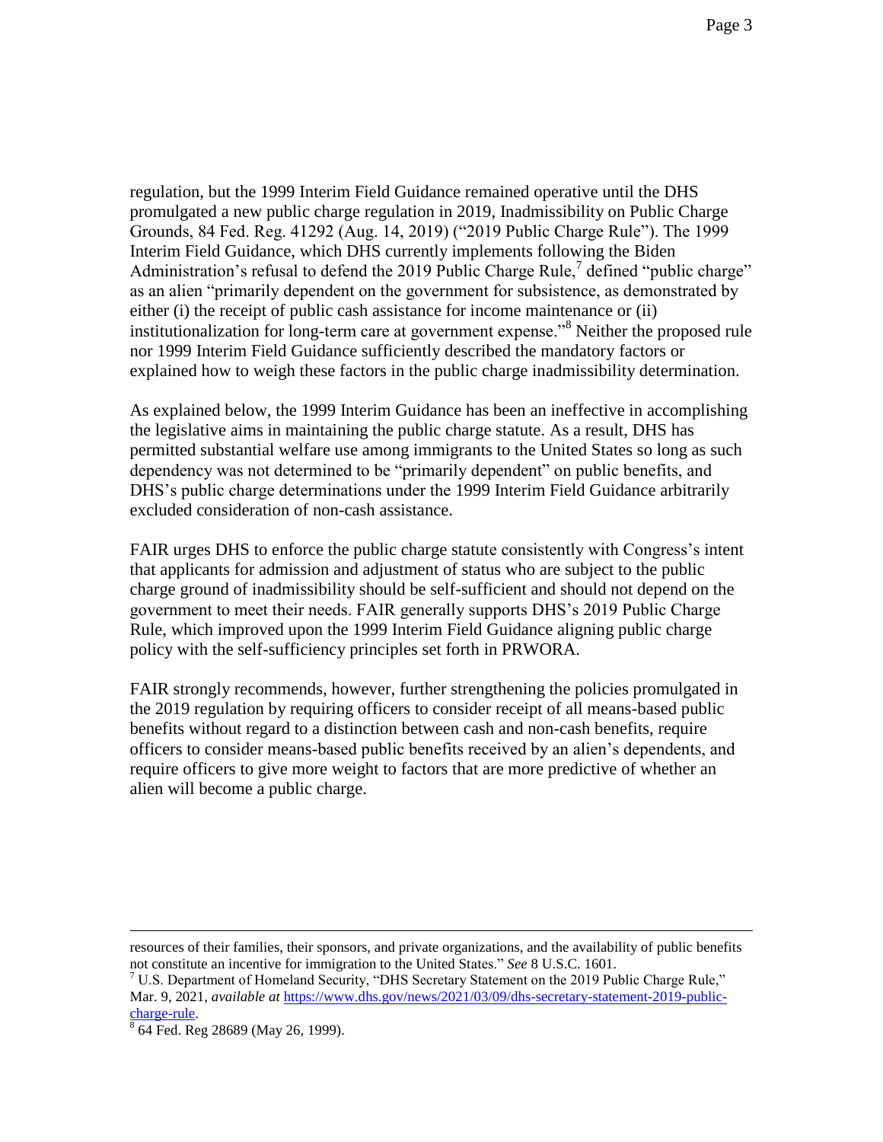regulation, but the 1999 Interim Field Guidance remained operative until the DHS promulgated a new public charge regulation in 2019, Inadmissibility on Public Charge Grounds, 84 Fed. Reg. 41292 (Aug. 14, 2019) ("2019 Public Charge Rule"). The 1999 Interim Field Guidance, which DHS currently implements following the Biden Administration's refusal to defend the 2019 Public Charge Rule,<sup>7</sup> defined "public charge" as an alien "primarily dependent on the government for subsistence, as demonstrated by either (i) the receipt of public cash assistance for income maintenance or (ii) institutionalization for long-term care at government expense."<sup>8</sup> Neither the proposed rule nor 1999 Interim Field Guidance sufficiently described the mandatory factors or explained how to weigh these factors in the public charge inadmissibility determination.

As explained below, the 1999 Interim Guidance has been an ineffective in accomplishing the legislative aims in maintaining the public charge statute. As a result, DHS has permitted substantial welfare use among immigrants to the United States so long as such dependency was not determined to be "primarily dependent" on public benefits, and DHS's public charge determinations under the 1999 Interim Field Guidance arbitrarily excluded consideration of non-cash assistance.

FAIR urges DHS to enforce the public charge statute consistently with Congress's intent that applicants for admission and adjustment of status who are subject to the public charge ground of inadmissibility should be self-sufficient and should not depend on the government to meet their needs. FAIR generally supports DHS's 2019 Public Charge Rule, which improved upon the 1999 Interim Field Guidance aligning public charge policy with the self-sufficiency principles set forth in PRWORA.

FAIR strongly recommends, however, further strengthening the policies promulgated in the 2019 regulation by requiring officers to consider receipt of all means-based public benefits without regard to a distinction between cash and non-cash benefits, require officers to consider means-based public benefits received by an alien's dependents, and require officers to give more weight to factors that are more predictive of whether an alien will become a public charge.

resources of their families, their sponsors, and private organizations, and the availability of public benefits not constitute an incentive for immigration to the United States." *See* 8 U.S.C. 1601.

<sup>&</sup>lt;sup>7</sup> U.S. Department of Homeland Security, "DHS Secretary Statement on the 2019 Public Charge Rule," Mar. 9, 2021, *available at [https://www.dhs.gov/news/2021/03/09/dhs-secretary-statement-2019-public](https://www.dhs.gov/news/2021/03/09/dhs-secretary-statement-2019-public-charge-rule)*[charge-rule.](https://www.dhs.gov/news/2021/03/09/dhs-secretary-statement-2019-public-charge-rule) 

<sup>&</sup>lt;sup>8</sup> 64 Fed. Reg 28689 (May 26, 1999).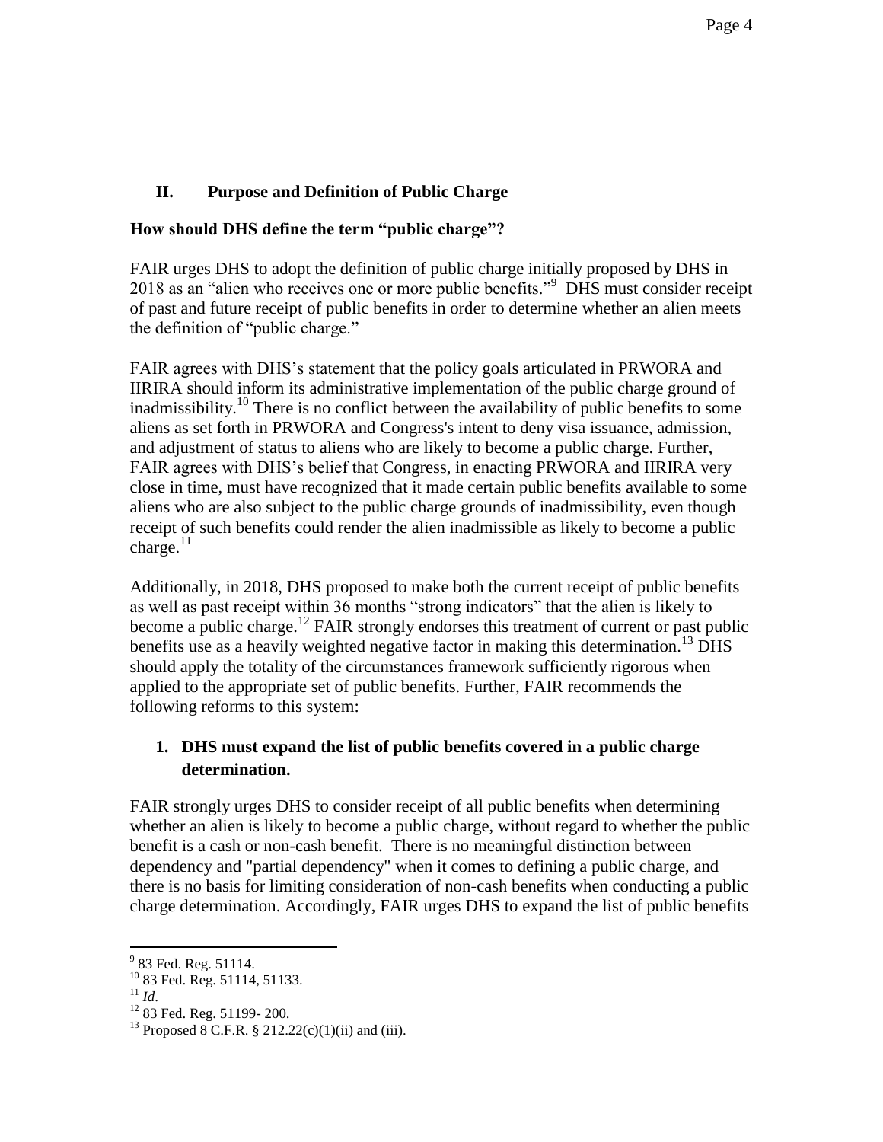# **II. Purpose and Definition of Public Charge**

### **How should DHS define the term "public charge"?**

FAIR urges DHS to adopt the definition of public charge initially proposed by DHS in 2018 as an "alien who receives one or more public benefits."<sup>9</sup> DHS must consider receipt of past and future receipt of public benefits in order to determine whether an alien meets the definition of "public charge."

FAIR agrees with DHS's statement that the policy goals articulated in PRWORA and IIRIRA should inform its administrative implementation of the public charge ground of inadmissibility.<sup>10</sup> There is no conflict between the availability of public benefits to some aliens as set forth in PRWORA and Congress's intent to deny visa issuance, admission, and adjustment of status to aliens who are likely to become a public charge. Further, FAIR agrees with DHS's belief that Congress, in enacting PRWORA and IIRIRA very close in time, must have recognized that it made certain public benefits available to some aliens who are also subject to the public charge grounds of inadmissibility, even though receipt of such benefits could render the alien inadmissible as likely to become a public charge. $^{11}$ 

Additionally, in 2018, DHS proposed to make both the current receipt of public benefits as well as past receipt within 36 months "strong indicators" that the alien is likely to become a public charge.<sup>12</sup> FAIR strongly endorses this treatment of current or past public benefits use as a heavily weighted negative factor in making this determination.<sup>13</sup> DHS should apply the totality of the circumstances framework sufficiently rigorous when applied to the appropriate set of public benefits. Further, FAIR recommends the following reforms to this system:

# **1. DHS must expand the list of public benefits covered in a public charge determination.**

FAIR strongly urges DHS to consider receipt of all public benefits when determining whether an alien is likely to become a public charge, without regard to whether the public benefit is a cash or non-cash benefit. There is no meaningful distinction between dependency and "partial dependency" when it comes to defining a public charge, and there is no basis for limiting consideration of non-cash benefits when conducting a public charge determination. Accordingly, FAIR urges DHS to expand the list of public benefits

<sup>&</sup>lt;sup>9</sup> 83 Fed. Reg. 51114.

<sup>10</sup> 83 Fed. Reg. 51114, 51133.

<sup>11</sup> *Id*.

<sup>12</sup> 83 Fed. Reg. 51199- 200.

<sup>&</sup>lt;sup>13</sup> Proposed 8 C.F.R. § 212.22(c)(1)(ii) and (iii).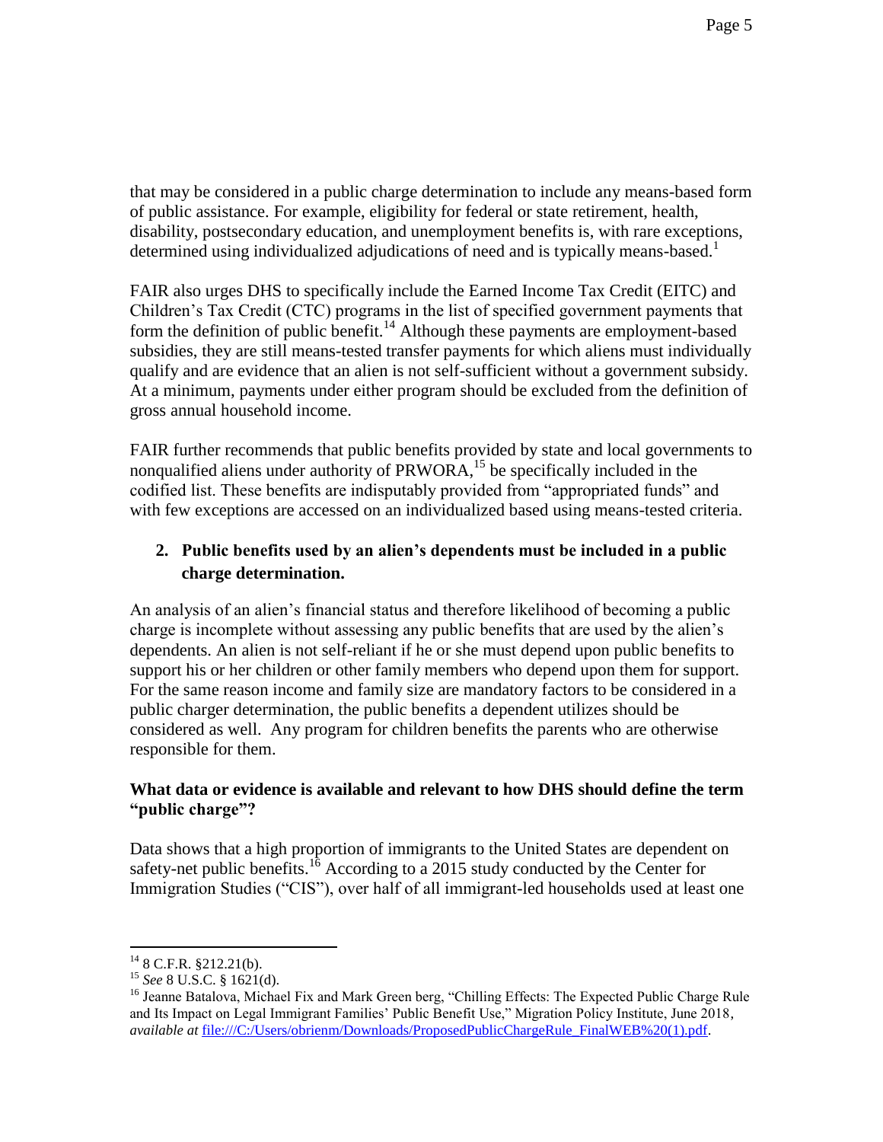that may be considered in a public charge determination to include any means-based form of public assistance. For example, eligibility for federal or state retirement, health, disability, postsecondary education, and unemployment benefits is, with rare exceptions, determined using individualized adjudications of need and is typically means-based.<sup>1</sup>

FAIR also urges DHS to specifically include the Earned Income Tax Credit (EITC) and Children's Tax Credit (CTC) programs in the list of specified government payments that form the definition of public benefit.<sup>14</sup> Although these payments are employment-based subsidies, they are still means-tested transfer payments for which aliens must individually qualify and are evidence that an alien is not self-sufficient without a government subsidy. At a minimum, payments under either program should be excluded from the definition of gross annual household income.

FAIR further recommends that public benefits provided by state and local governments to nonqualified aliens under authority of  $PRWORA$ ,<sup>15</sup> be specifically included in the codified list. These benefits are indisputably provided from "appropriated funds" and with few exceptions are accessed on an individualized based using means-tested criteria.

# **2. Public benefits used by an alien's dependents must be included in a public charge determination.**

An analysis of an alien's financial status and therefore likelihood of becoming a public charge is incomplete without assessing any public benefits that are used by the alien's dependents. An alien is not self-reliant if he or she must depend upon public benefits to support his or her children or other family members who depend upon them for support. For the same reason income and family size are mandatory factors to be considered in a public charger determination, the public benefits a dependent utilizes should be considered as well. Any program for children benefits the parents who are otherwise responsible for them.

## **What data or evidence is available and relevant to how DHS should define the term "public charge"?**

Data shows that a high proportion of immigrants to the United States are dependent on safety-net public benefits.<sup>16</sup> According to a 2015 study conducted by the Center for Immigration Studies ("CIS"), over half of all immigrant-led households used at least one

 $14$  8 C.F.R. §212.21(b).

<sup>15</sup> *See* 8 U.S.C. § 1621(d).

<sup>&</sup>lt;sup>16</sup> Jeanne Batalova, Michael Fix and Mark Green berg, "Chilling Effects: The Expected Public Charge Rule and Its Impact on Legal Immigrant Families' Public Benefit Use," Migration Policy Institute, June 2018, *available at* [file:///C:/Users/obrienm/Downloads/ProposedPublicChargeRule\\_FinalWEB%20\(1\).pdf.](file:///C:/Users/obrienm/Downloads/ProposedPublicChargeRule_FinalWEB%20(1).pdf)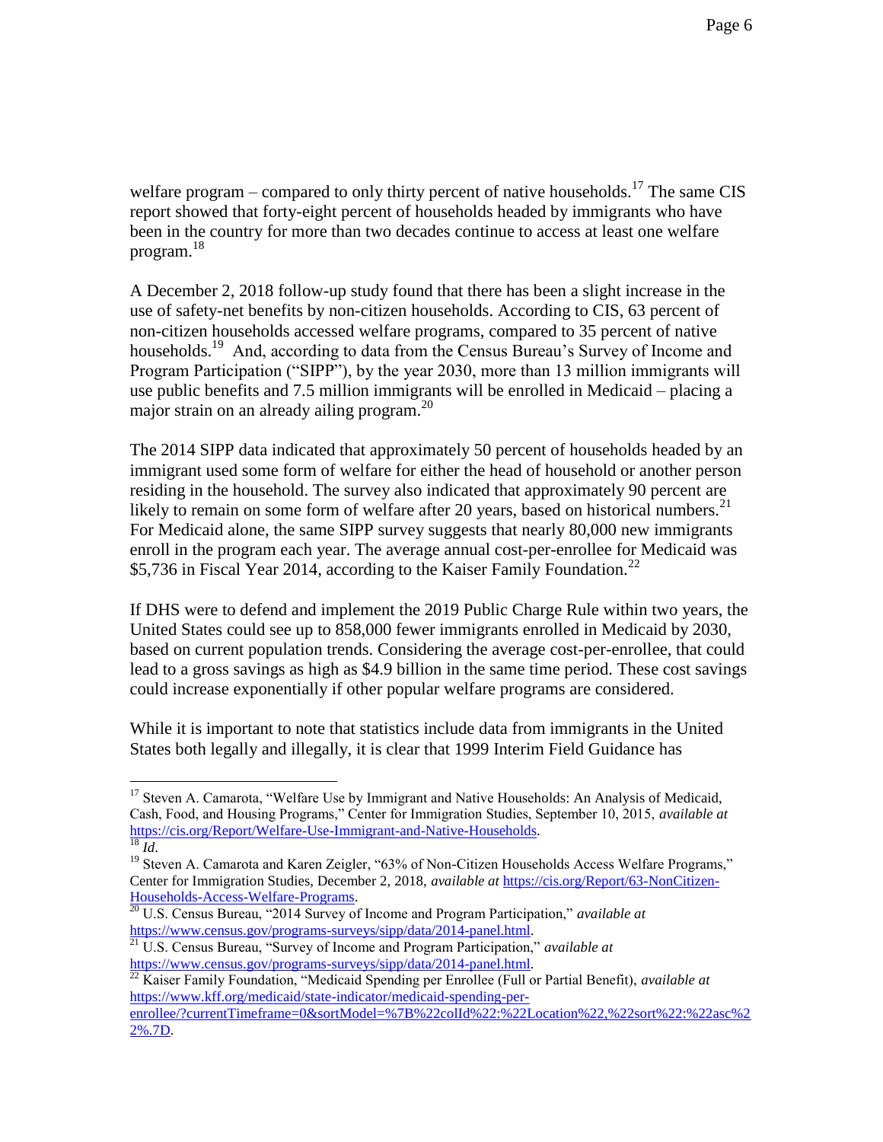welfare program – compared to only thirty percent of native households.<sup>17</sup> The same CIS report showed that forty-eight percent of households headed by immigrants who have been in the country for more than two decades continue to access at least one welfare program.<sup>18</sup>

A December 2, 2018 follow-up study found that there has been a slight increase in the use of safety-net benefits by non-citizen households. According to CIS, 63 percent of non-citizen households accessed welfare programs, compared to 35 percent of native households.<sup>19</sup> And, according to data from the Census Bureau's Survey of Income and Program Participation ("SIPP"), by the year 2030, more than 13 million immigrants will use public benefits and 7.5 million immigrants will be enrolled in Medicaid – placing a major strain on an already ailing program. $^{20}$ 

The 2014 SIPP data indicated that approximately 50 percent of households headed by an immigrant used some form of welfare for either the head of household or another person residing in the household. The survey also indicated that approximately 90 percent are likely to remain on some form of welfare after 20 years, based on historical numbers.<sup>21</sup> For Medicaid alone, the same SIPP survey suggests that nearly 80,000 new immigrants enroll in the program each year. The average annual cost-per-enrollee for Medicaid was \$5,736 in Fiscal Year 2014, according to the Kaiser Family Foundation.<sup>22</sup>

If DHS were to defend and implement the 2019 Public Charge Rule within two years, the United States could see up to 858,000 fewer immigrants enrolled in Medicaid by 2030, based on current population trends. Considering the average cost-per-enrollee, that could lead to a gross savings as high as \$4.9 billion in the same time period. These cost savings could increase exponentially if other popular welfare programs are considered.

While it is important to note that statistics include data from immigrants in the United States both legally and illegally, it is clear that 1999 Interim Field Guidance has

<sup>&</sup>lt;sup>17</sup> Steven A. Camarota, "Welfare Use by Immigrant and Native Households: An Analysis of Medicaid, Cash, Food, and Housing Programs," Center for Immigration Studies, September 10, 2015, *available at*  [https://cis.org/Report/Welfare-Use-Immigrant-and-Native-Households.](https://cis.org/Report/Welfare-Use-Immigrant-and-Native-Households)  <sup>18</sup> *Id*.

<sup>&</sup>lt;sup>19</sup> Steven A. Camarota and Karen Zeigler, "63% of Non-Citizen Households Access Welfare Programs," Center for Immigration Studies, December 2, 2018, *available at* [https://cis.org/Report/63-NonCitizen-](https://cis.org/Report/63-NonCitizen-Households-Access-Welfare-Programs)[Households-Access-Welfare-Programs.](https://cis.org/Report/63-NonCitizen-Households-Access-Welfare-Programs)

<sup>20</sup> U.S. Census Bureau, "2014 Survey of Income and Program Participation," *available at*  [https://www.census.gov/programs-surveys/sipp/data/2014-panel.html.](https://www.census.gov/programs-surveys/sipp/data/2014-panel.html)

<sup>21</sup> U.S. Census Bureau, "Survey of Income and Program Participation," *available at*  [https://www.census.gov/programs-surveys/sipp/data/2014-panel.html.](https://www.census.gov/programs-surveys/sipp/data/2014-panel.html)

<sup>22</sup> Kaiser Family Foundation, "Medicaid Spending per Enrollee (Full or Partial Benefit), *available at*  [https://www.kff.org/medicaid/state-indicator/medicaid-spending-per](https://www.kff.org/medicaid/state-indicator/medicaid-spending-per-enrollee/?currentTimeframe=0&sortModel=%7B%22colId%22:%22Location%22,%22sort%22:%22asc%22%25.7D)enrollee/?currentTimeframe=0&sortModel=%7B%22colId%22:%22Location%22.%22sort%22:%22asc%2 [2%.7D.](https://www.kff.org/medicaid/state-indicator/medicaid-spending-per-enrollee/?currentTimeframe=0&sortModel=%7B%22colId%22:%22Location%22,%22sort%22:%22asc%22%25.7D)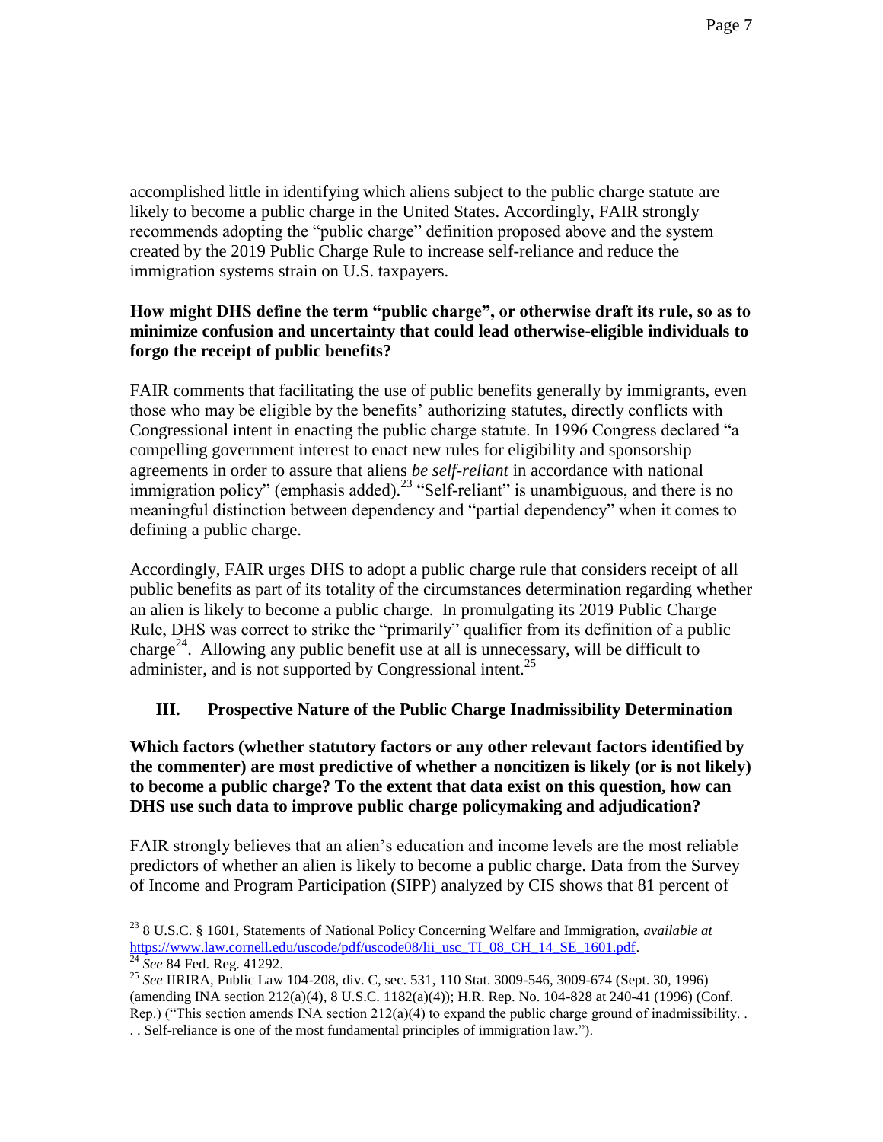accomplished little in identifying which aliens subject to the public charge statute are likely to become a public charge in the United States. Accordingly, FAIR strongly recommends adopting the "public charge" definition proposed above and the system created by the 2019 Public Charge Rule to increase self-reliance and reduce the immigration systems strain on U.S. taxpayers.

## **How might DHS define the term "public charge", or otherwise draft its rule, so as to minimize confusion and uncertainty that could lead otherwise-eligible individuals to forgo the receipt of public benefits?**

FAIR comments that facilitating the use of public benefits generally by immigrants, even those who may be eligible by the benefits' authorizing statutes, directly conflicts with Congressional intent in enacting the public charge statute. In 1996 Congress declared "a compelling government interest to enact new rules for eligibility and sponsorship agreements in order to assure that aliens *be self-reliant* in accordance with national immigration policy" (emphasis added).<sup>23</sup> "Self-reliant" is unambiguous, and there is no meaningful distinction between dependency and "partial dependency" when it comes to defining a public charge.

Accordingly, FAIR urges DHS to adopt a public charge rule that considers receipt of all public benefits as part of its totality of the circumstances determination regarding whether an alien is likely to become a public charge. In promulgating its 2019 Public Charge Rule, DHS was correct to strike the "primarily" qualifier from its definition of a public charge<sup>24</sup>. Allowing any public benefit use at all is unnecessary, will be difficult to administer, and is not supported by Congressional intent.<sup>25</sup>

# **III. Prospective Nature of the Public Charge Inadmissibility Determination**

**Which factors (whether statutory factors or any other relevant factors identified by the commenter) are most predictive of whether a noncitizen is likely (or is not likely) to become a public charge? To the extent that data exist on this question, how can DHS use such data to improve public charge policymaking and adjudication?**

FAIR strongly believes that an alien's education and income levels are the most reliable predictors of whether an alien is likely to become a public charge. Data from the Survey of Income and Program Participation (SIPP) analyzed by CIS shows that 81 percent of

 $\overline{a}$ <sup>23</sup> 8 U.S.C. § 1601, Statements of National Policy Concerning Welfare and Immigration, *available at*  [https://www.law.cornell.edu/uscode/pdf/uscode08/lii\\_usc\\_TI\\_08\\_CH\\_14\\_SE\\_1601.pdf.](https://www.law.cornell.edu/uscode/pdf/uscode08/lii_usc_TI_08_CH_14_SE_1601.pdf)

<sup>24</sup> *See* 84 Fed. Reg. 41292.

<sup>25</sup> *See* IIRIRA, Public Law 104-208, div. C, sec. 531, 110 Stat. 3009-546, 3009-674 (Sept. 30, 1996) (amending INA section 212(a)(4), 8 U.S.C. 1182(a)(4)); H.R. Rep. No. 104-828 at 240-41 (1996) (Conf. Rep.) ("This section amends INA section  $212(a)(4)$  to expand the public charge ground of inadmissibility. . . Self-reliance is one of the most fundamental principles of immigration law.").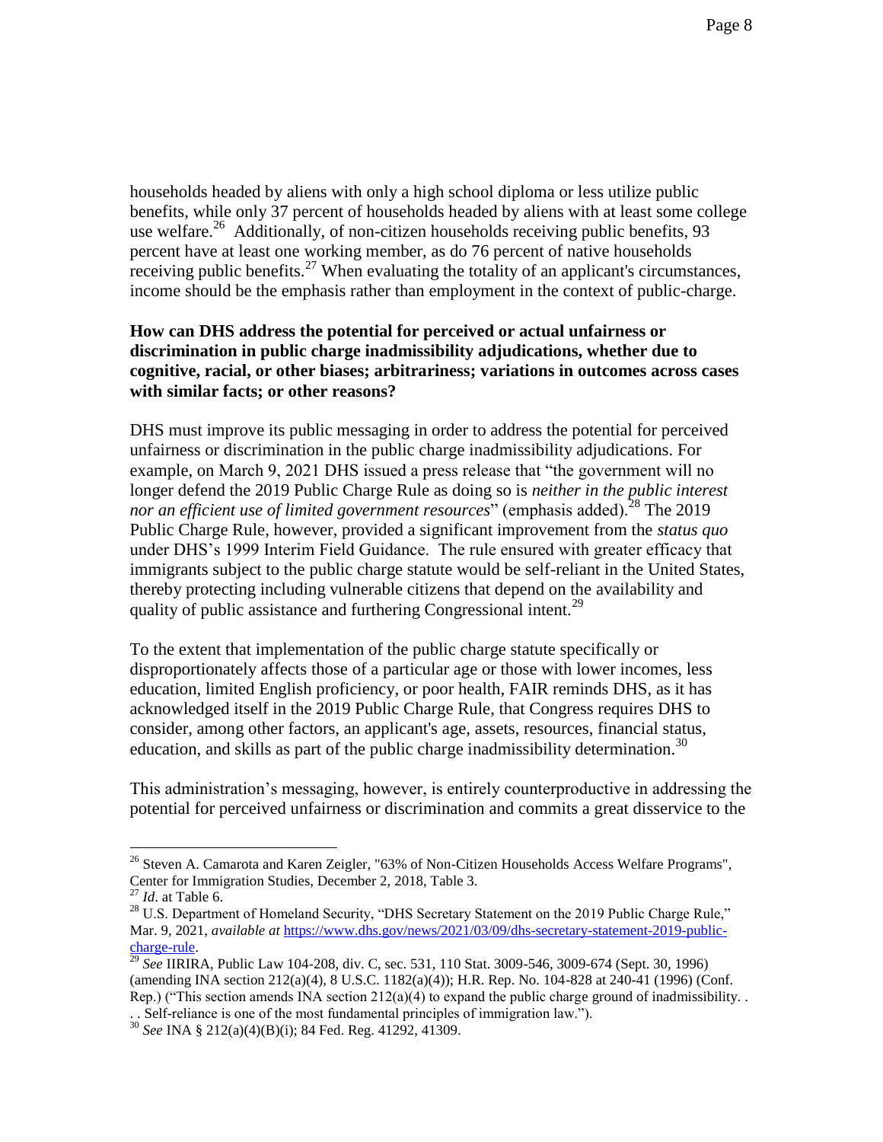households headed by aliens with only a high school diploma or less utilize public benefits, while only 37 percent of households headed by aliens with at least some college use welfare.<sup>26</sup> Additionally, of non-citizen households receiving public benefits, 93 percent have at least one working member, as do 76 percent of native households receiving public benefits.<sup>27</sup> When evaluating the totality of an applicant's circumstances, income should be the emphasis rather than employment in the context of public-charge.

### **How can DHS address the potential for perceived or actual unfairness or discrimination in public charge inadmissibility adjudications, whether due to cognitive, racial, or other biases; arbitrariness; variations in outcomes across cases with similar facts; or other reasons?**

DHS must improve its public messaging in order to address the potential for perceived unfairness or discrimination in the public charge inadmissibility adjudications. For example, on March 9, 2021 DHS issued a press release that "the government will no longer defend the 2019 Public Charge Rule as doing so is *neither in the public interest nor an efficient use of limited government resources*" (emphasis added).<sup>28</sup> The 2019 Public Charge Rule, however, provided a significant improvement from the *status quo* under DHS's 1999 Interim Field Guidance. The rule ensured with greater efficacy that immigrants subject to the public charge statute would be self-reliant in the United States, thereby protecting including vulnerable citizens that depend on the availability and quality of public assistance and furthering Congressional intent.<sup>29</sup>

To the extent that implementation of the public charge statute specifically or disproportionately affects those of a particular age or those with lower incomes, less education, limited English proficiency, or poor health, FAIR reminds DHS, as it has acknowledged itself in the 2019 Public Charge Rule, that Congress requires DHS to consider, among other factors, an applicant's age, assets, resources, financial status, education, and skills as part of the public charge inadmissibility determination.<sup>30</sup>

This administration's messaging, however, is entirely counterproductive in addressing the potential for perceived unfairness or discrimination and commits a great disservice to the

<sup>&</sup>lt;sup>26</sup> Steven A. Camarota and Karen Zeigler, "63% of Non-Citizen Households Access Welfare Programs", Center for Immigration Studies, December 2, 2018, Table 3.

<sup>27</sup> *Id*. at Table 6.

<sup>&</sup>lt;sup>28</sup> U.S. Department of Homeland Security, "DHS Secretary Statement on the 2019 Public Charge Rule," Mar. 9, 2021, *available at [https://www.dhs.gov/news/2021/03/09/dhs-secretary-statement-2019-public](https://www.dhs.gov/news/2021/03/09/dhs-secretary-statement-2019-public-charge-rule)*[charge-rule.](https://www.dhs.gov/news/2021/03/09/dhs-secretary-statement-2019-public-charge-rule) 

<sup>29</sup> *See* IIRIRA, Public Law 104-208, div. C, sec. 531, 110 Stat. 3009-546, 3009-674 (Sept. 30, 1996) (amending INA section 212(a)(4), 8 U.S.C. 1182(a)(4)); H.R. Rep. No. 104-828 at 240-41 (1996) (Conf. Rep.) ("This section amends INA section  $212(a)(4)$  to expand the public charge ground of inadmissibility. . . Self-reliance is one of the most fundamental principles of immigration law.").

<sup>30</sup> *See* INA § 212(a)(4)(B)(i); 84 Fed. Reg. 41292, 41309.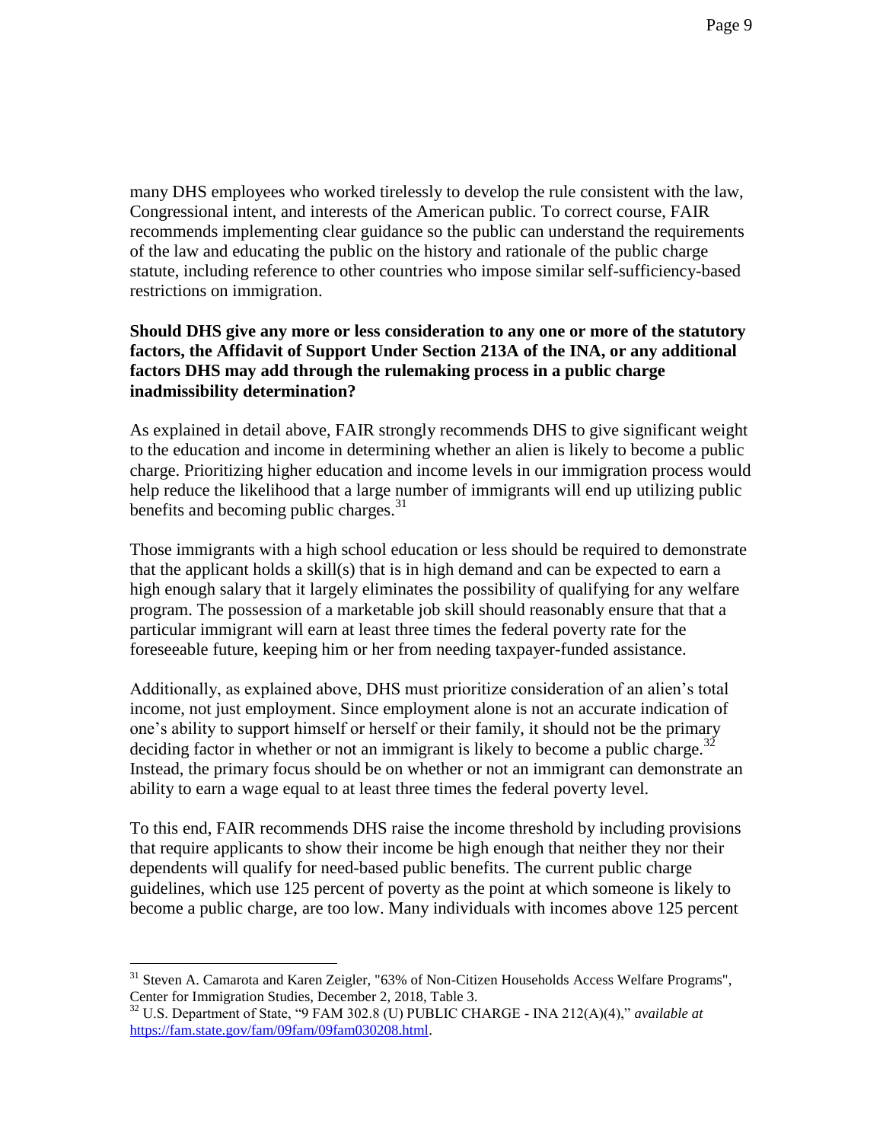many DHS employees who worked tirelessly to develop the rule consistent with the law, Congressional intent, and interests of the American public. To correct course, FAIR recommends implementing clear guidance so the public can understand the requirements of the law and educating the public on the history and rationale of the public charge statute, including reference to other countries who impose similar self-sufficiency-based restrictions on immigration.

### **Should DHS give any more or less consideration to any one or more of the statutory factors, the Affidavit of Support Under Section 213A of the INA, or any additional factors DHS may add through the rulemaking process in a public charge inadmissibility determination?**

As explained in detail above, FAIR strongly recommends DHS to give significant weight to the education and income in determining whether an alien is likely to become a public charge. Prioritizing higher education and income levels in our immigration process would help reduce the likelihood that a large number of immigrants will end up utilizing public benefits and becoming public charges.<sup>31</sup>

Those immigrants with a high school education or less should be required to demonstrate that the applicant holds a skill(s) that is in high demand and can be expected to earn a high enough salary that it largely eliminates the possibility of qualifying for any welfare program. The possession of a marketable job skill should reasonably ensure that that a particular immigrant will earn at least three times the federal poverty rate for the foreseeable future, keeping him or her from needing taxpayer-funded assistance.

Additionally, as explained above, DHS must prioritize consideration of an alien's total income, not just employment. Since employment alone is not an accurate indication of one's ability to support himself or herself or their family, it should not be the primary deciding factor in whether or not an immigrant is likely to become a public charge.<sup>32</sup> Instead, the primary focus should be on whether or not an immigrant can demonstrate an ability to earn a wage equal to at least three times the federal poverty level.

To this end, FAIR recommends DHS raise the income threshold by including provisions that require applicants to show their income be high enough that neither they nor their dependents will qualify for need-based public benefits. The current public charge guidelines, which use 125 percent of poverty as the point at which someone is likely to become a public charge, are too low. Many individuals with incomes above 125 percent

<sup>&</sup>lt;sup>31</sup> Steven A. Camarota and Karen Zeigler, "63% of Non-Citizen Households Access Welfare Programs", Center for Immigration Studies, December 2, 2018, Table 3.

<sup>32</sup> U.S. Department of State, "9 FAM 302.8 (U) PUBLIC CHARGE - INA 212(A)(4)," *available at*  [https://fam.state.gov/fam/09fam/09fam030208.html.](https://fam.state.gov/fam/09fam/09fam030208.html)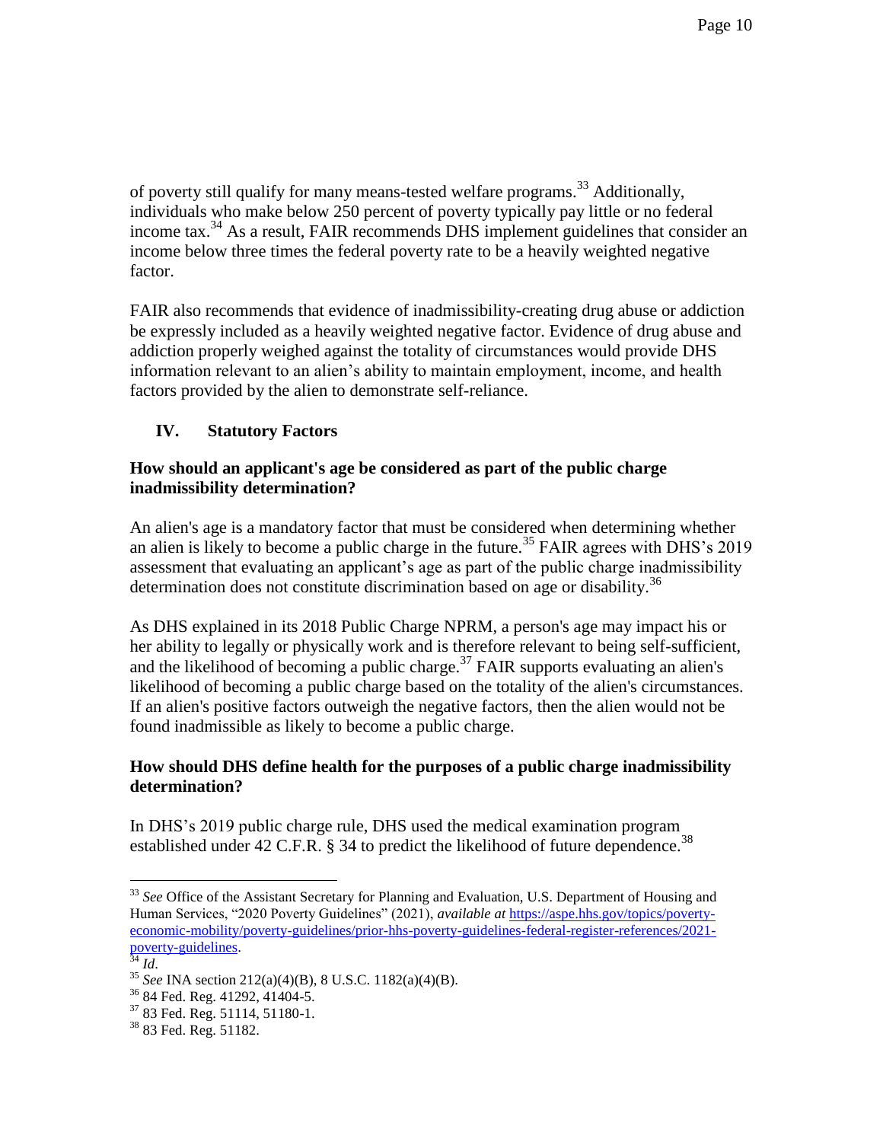of poverty still qualify for many means-tested welfare programs.<sup>33</sup> Additionally, individuals who make below 250 percent of poverty typically pay little or no federal income tax.<sup>34</sup> As a result, FAIR recommends DHS implement guidelines that consider an income below three times the federal poverty rate to be a heavily weighted negative factor.

FAIR also recommends that evidence of inadmissibility-creating drug abuse or addiction be expressly included as a heavily weighted negative factor. Evidence of drug abuse and addiction properly weighed against the totality of circumstances would provide DHS information relevant to an alien's ability to maintain employment, income, and health factors provided by the alien to demonstrate self-reliance.

## **IV. Statutory Factors**

### **How should an applicant's age be considered as part of the public charge inadmissibility determination?**

An alien's age is a mandatory factor that must be considered when determining whether an alien is likely to become a public charge in the future.<sup>35</sup> FAIR agrees with DHS's 2019 assessment that evaluating an applicant's age as part of the public charge inadmissibility determination does not constitute discrimination based on age or disability.<sup>36</sup>

As DHS explained in its 2018 Public Charge NPRM, a person's age may impact his or her ability to legally or physically work and is therefore relevant to being self-sufficient, and the likelihood of becoming a public charge.<sup>37</sup> FAIR supports evaluating an alien's likelihood of becoming a public charge based on the totality of the alien's circumstances. If an alien's positive factors outweigh the negative factors, then the alien would not be found inadmissible as likely to become a public charge.

### **How should DHS define health for the purposes of a public charge inadmissibility determination?**

In DHS's 2019 public charge rule, DHS used the medical examination program established under 42 C.F.R. § 34 to predict the likelihood of future dependence.<sup>38</sup>

<sup>34</sup> *Id*.

<sup>&</sup>lt;sup>33</sup> See Office of the Assistant Secretary for Planning and Evaluation, U.S. Department of Housing and Human Services, "2020 Poverty Guidelines" (2021), *available at* [https://aspe.hhs.gov/topics/poverty](https://aspe.hhs.gov/topics/poverty-economic-mobility/poverty-guidelines/prior-hhs-poverty-guidelines-federal-register-references/2021-poverty-guidelines)[economic-mobility/poverty-guidelines/prior-hhs-poverty-guidelines-federal-register-references/2021](https://aspe.hhs.gov/topics/poverty-economic-mobility/poverty-guidelines/prior-hhs-poverty-guidelines-federal-register-references/2021-poverty-guidelines) [poverty-guidelines.](https://aspe.hhs.gov/topics/poverty-economic-mobility/poverty-guidelines/prior-hhs-poverty-guidelines-federal-register-references/2021-poverty-guidelines)

<sup>35</sup> *See* INA section 212(a)(4)(B), 8 U.S.C. 1182(a)(4)(B).

<sup>36</sup> 84 Fed. Reg. 41292, 41404-5.

<sup>37</sup> 83 Fed. Reg. 51114, 51180-1.

<sup>38</sup> 83 Fed. Reg. 51182.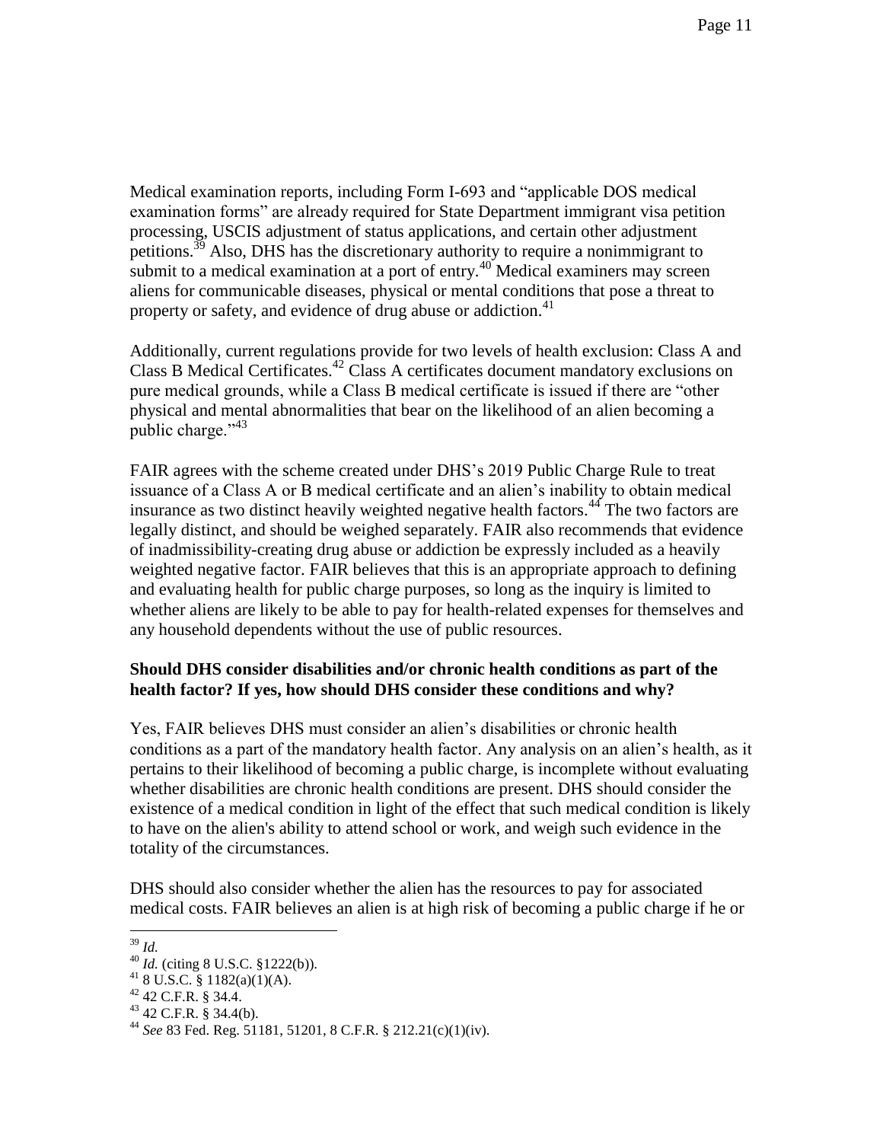Medical examination reports, including Form I-693 and "applicable DOS medical examination forms" are already required for State Department immigrant visa petition processing, USCIS adjustment of status applications, and certain other adjustment petitions.<sup>39</sup> Also, DHS has the discretionary authority to require a nonimmigrant to submit to a medical examination at a port of entry.<sup>40</sup> Medical examiners may screen aliens for communicable diseases, physical or mental conditions that pose a threat to property or safety, and evidence of drug abuse or addiction.<sup>41</sup>

Additionally, current regulations provide for two levels of health exclusion: Class A and Class B Medical Certificates.<sup>42</sup> Class A certificates document mandatory exclusions on pure medical grounds, while a Class B medical certificate is issued if there are "other physical and mental abnormalities that bear on the likelihood of an alien becoming a public charge." $43$ 

FAIR agrees with the scheme created under DHS's 2019 Public Charge Rule to treat issuance of a Class A or B medical certificate and an alien's inability to obtain medical insurance as two distinct heavily weighted negative health factors.<sup>44</sup> The two factors are legally distinct, and should be weighed separately. FAIR also recommends that evidence of inadmissibility-creating drug abuse or addiction be expressly included as a heavily weighted negative factor. FAIR believes that this is an appropriate approach to defining and evaluating health for public charge purposes, so long as the inquiry is limited to whether aliens are likely to be able to pay for health-related expenses for themselves and any household dependents without the use of public resources.

## **Should DHS consider disabilities and/or chronic health conditions as part of the health factor? If yes, how should DHS consider these conditions and why?**

Yes, FAIR believes DHS must consider an alien's disabilities or chronic health conditions as a part of the mandatory health factor. Any analysis on an alien's health, as it pertains to their likelihood of becoming a public charge, is incomplete without evaluating whether disabilities are chronic health conditions are present. DHS should consider the existence of a medical condition in light of the effect that such medical condition is likely to have on the alien's ability to attend school or work, and weigh such evidence in the totality of the circumstances.

DHS should also consider whether the alien has the resources to pay for associated medical costs. FAIR believes an alien is at high risk of becoming a public charge if he or

 $\overline{a}$ <sup>39</sup> *Id.*

<sup>40</sup> *Id.* (citing 8 U.S.C. §1222(b)).

 $418$  U.S.C. § 1182(a)(1)(A).

<sup>42</sup> 42 C.F.R. § 34.4.

 $43$  42 C.F.R. § 34.4(b).

<sup>44</sup> *See* 83 Fed. Reg. 51181, 51201, 8 C.F.R. § 212.21(c)(1)(iv).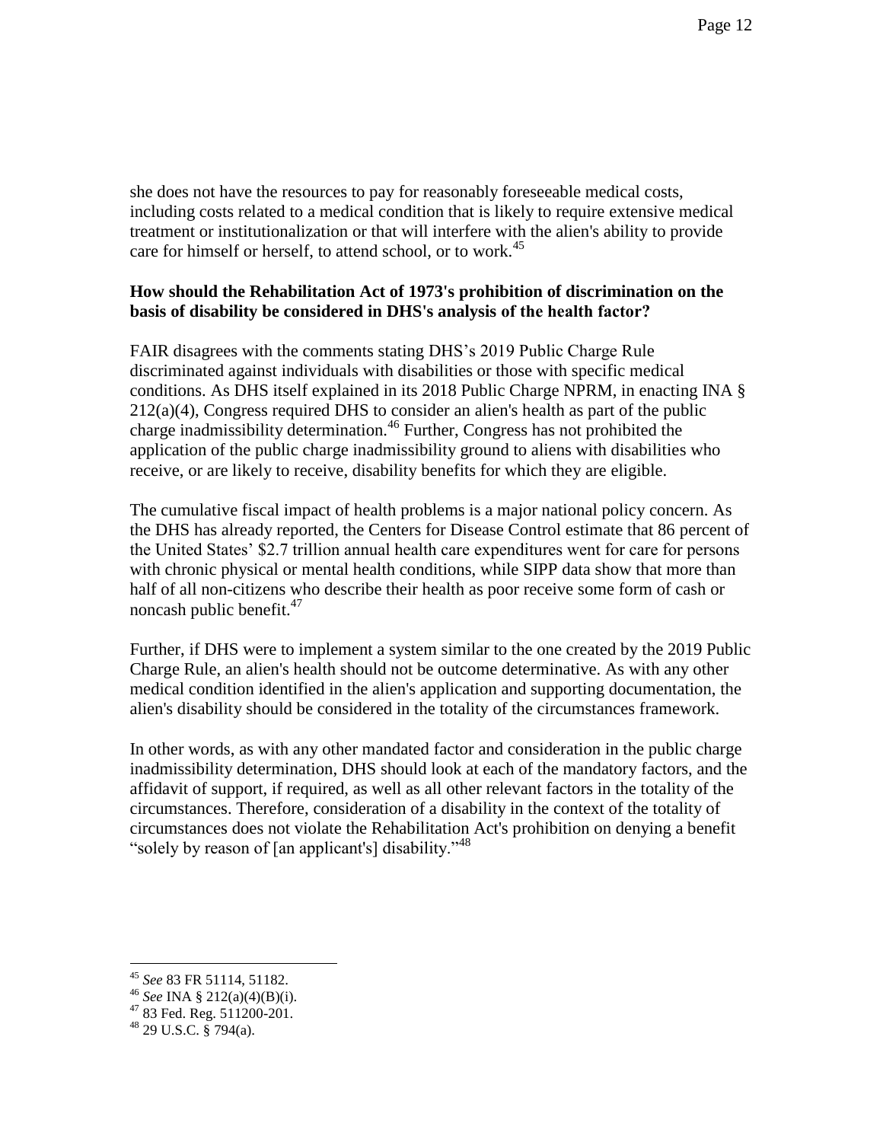she does not have the resources to pay for reasonably foreseeable medical costs, including costs related to a medical condition that is likely to require extensive medical treatment or institutionalization or that will interfere with the alien's ability to provide care for himself or herself, to attend school, or to work.<sup>45</sup>

#### **How should the Rehabilitation Act of 1973's prohibition of discrimination on the basis of disability be considered in DHS's analysis of the health factor?**

FAIR disagrees with the comments stating DHS's 2019 Public Charge Rule discriminated against individuals with disabilities or those with specific medical conditions. As DHS itself explained in its 2018 Public Charge NPRM, in enacting INA §  $212(a)(4)$ , Congress required DHS to consider an alien's health as part of the public charge inadmissibility determination.<sup>46</sup> Further, Congress has not prohibited the application of the public charge inadmissibility ground to aliens with disabilities who receive, or are likely to receive, disability benefits for which they are eligible.

The cumulative fiscal impact of health problems is a major national policy concern. As the DHS has already reported, the Centers for Disease Control estimate that 86 percent of the United States' \$2.7 trillion annual health care expenditures went for care for persons with chronic physical or mental health conditions, while SIPP data show that more than half of all non-citizens who describe their health as poor receive some form of cash or noncash public benefit.<sup>47</sup>

Further, if DHS were to implement a system similar to the one created by the 2019 Public Charge Rule, an alien's health should not be outcome determinative. As with any other medical condition identified in the alien's application and supporting documentation, the alien's disability should be considered in the totality of the circumstances framework.

In other words, as with any other mandated factor and consideration in the public charge inadmissibility determination, DHS should look at each of the mandatory factors, and the affidavit of support, if required, as well as all other relevant factors in the totality of the circumstances. Therefore, consideration of a disability in the context of the totality of circumstances does not violate the Rehabilitation Act's prohibition on denying a benefit "solely by reason of [an applicant's] disability."<sup>48</sup>

<sup>45</sup> *See* 83 FR 51114, 51182.

<sup>46</sup> *See* INA § 212(a)(4)(B)(i).

 $4783$  Fed. Reg.  $511200-201$ .

 $48$  29 U.S.C. § 794(a).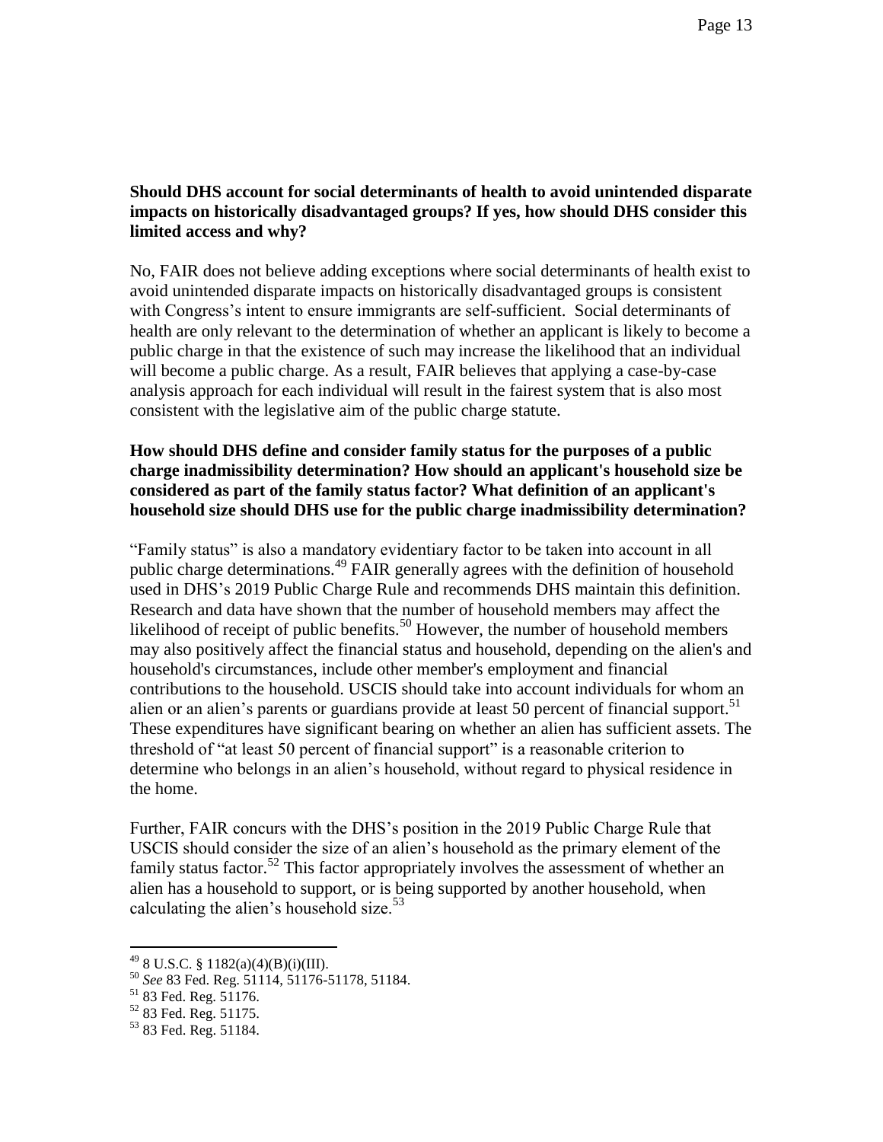## **Should DHS account for social determinants of health to avoid unintended disparate impacts on historically disadvantaged groups? If yes, how should DHS consider this limited access and why?**

No, FAIR does not believe adding exceptions where social determinants of health exist to avoid unintended disparate impacts on historically disadvantaged groups is consistent with Congress's intent to ensure immigrants are self-sufficient. Social determinants of health are only relevant to the determination of whether an applicant is likely to become a public charge in that the existence of such may increase the likelihood that an individual will become a public charge. As a result, FAIR believes that applying a case-by-case analysis approach for each individual will result in the fairest system that is also most consistent with the legislative aim of the public charge statute.

### **How should DHS define and consider family status for the purposes of a public charge inadmissibility determination? How should an applicant's household size be considered as part of the family status factor? What definition of an applicant's household size should DHS use for the public charge inadmissibility determination?**

"Family status" is also a mandatory evidentiary factor to be taken into account in all public charge determinations.<sup>49</sup> FAIR generally agrees with the definition of household used in DHS's 2019 Public Charge Rule and recommends DHS maintain this definition. Research and data have shown that the number of household members may affect the likelihood of receipt of public benefits.<sup>50</sup> However, the number of household members may also positively affect the financial status and household, depending on the alien's and household's circumstances, include other member's employment and financial contributions to the household. USCIS should take into account individuals for whom an alien or an alien's parents or guardians provide at least 50 percent of financial support.<sup>51</sup> These expenditures have significant bearing on whether an alien has sufficient assets. The threshold of "at least 50 percent of financial support" is a reasonable criterion to determine who belongs in an alien's household, without regard to physical residence in the home.

Further, FAIR concurs with the DHS's position in the 2019 Public Charge Rule that USCIS should consider the size of an alien's household as the primary element of the family status factor.<sup>52</sup> This factor appropriately involves the assessment of whether an alien has a household to support, or is being supported by another household, when calculating the alien's household size. $53$ 

 $^{49}$  8 U.S.C. § 1182(a)(4)(B)(i)(III).

<sup>50</sup> *See* 83 Fed. Reg. 51114, 51176-51178, 51184.

 $51$  83 Fed. Reg. 51176.

<sup>52</sup> 83 Fed. Reg. 51175.

<sup>53</sup> 83 Fed. Reg. 51184.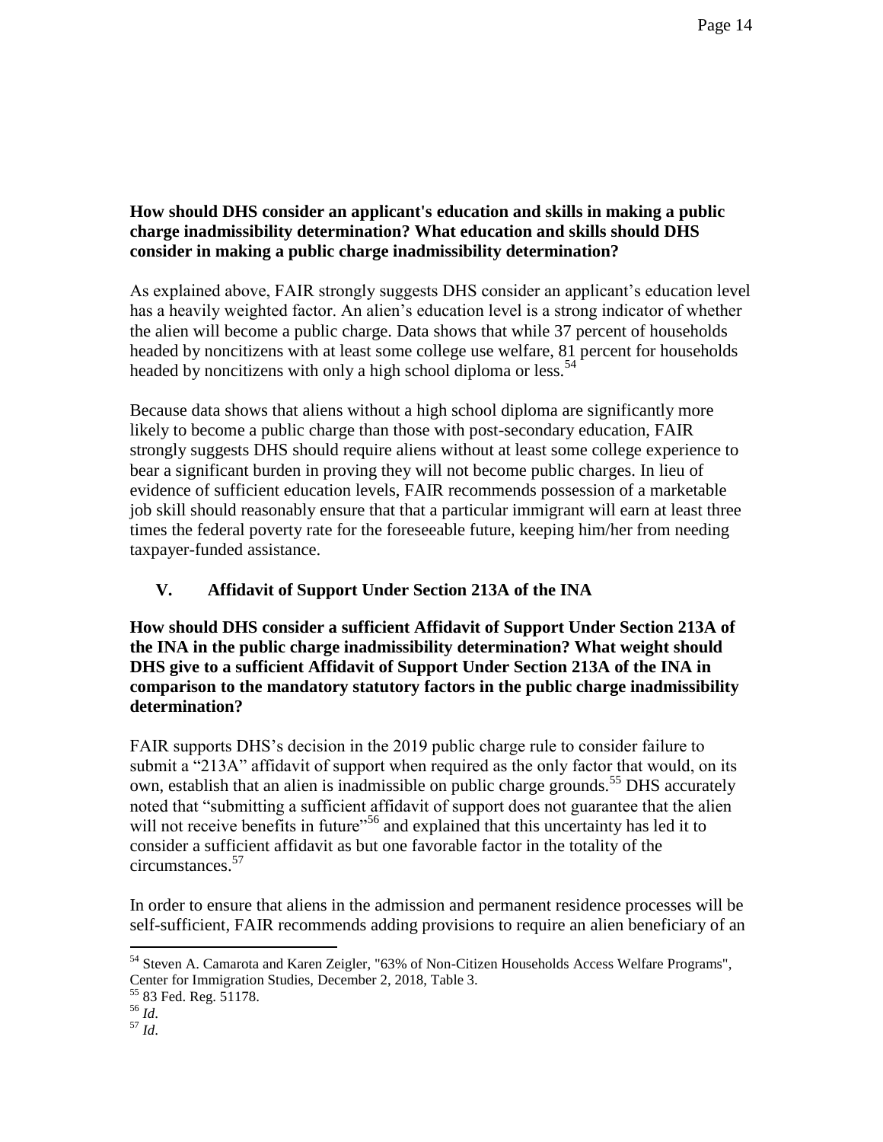## **How should DHS consider an applicant's education and skills in making a public charge inadmissibility determination? What education and skills should DHS consider in making a public charge inadmissibility determination?**

As explained above, FAIR strongly suggests DHS consider an applicant's education level has a heavily weighted factor. An alien's education level is a strong indicator of whether the alien will become a public charge. Data shows that while 37 percent of households headed by noncitizens with at least some college use welfare, 81 percent for households headed by noncitizens with only a high school diploma or less.<sup>54</sup>

Because data shows that aliens without a high school diploma are significantly more likely to become a public charge than those with post-secondary education, FAIR strongly suggests DHS should require aliens without at least some college experience to bear a significant burden in proving they will not become public charges. In lieu of evidence of sufficient education levels, FAIR recommends possession of a marketable job skill should reasonably ensure that that a particular immigrant will earn at least three times the federal poverty rate for the foreseeable future, keeping him/her from needing taxpayer-funded assistance.

# **V. Affidavit of Support Under Section 213A of the INA**

**How should DHS consider a sufficient Affidavit of Support Under Section 213A of the INA in the public charge inadmissibility determination? What weight should DHS give to a sufficient Affidavit of Support Under Section 213A of the INA in comparison to the mandatory statutory factors in the public charge inadmissibility determination?**

FAIR supports DHS's decision in the 2019 public charge rule to consider failure to submit a "213A" affidavit of support when required as the only factor that would, on its own, establish that an alien is inadmissible on public charge grounds.<sup>55</sup> DHS accurately noted that "submitting a sufficient affidavit of support does not guarantee that the alien will not receive benefits in future"<sup>56</sup> and explained that this uncertainty has led it to consider a sufficient affidavit as but one favorable factor in the totality of the circumstances.<sup>57</sup>

In order to ensure that aliens in the admission and permanent residence processes will be self-sufficient, FAIR recommends adding provisions to require an alien beneficiary of an

<sup>55</sup> 83 Fed. Reg. 51178.

 $\overline{a}$ 

<sup>57</sup> *Id*.

<sup>&</sup>lt;sup>54</sup> Steven A. Camarota and Karen Zeigler, "63% of Non-Citizen Households Access Welfare Programs", Center for Immigration Studies, December 2, 2018, Table 3.

 $^{56}$  *Id.*